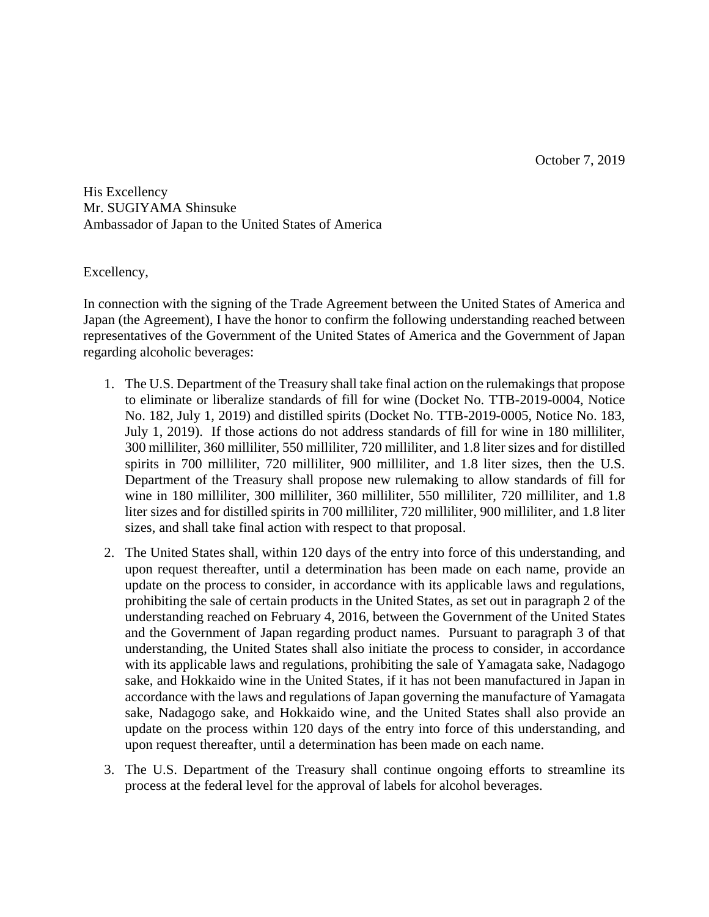His Excellency Mr. SUGIYAMA Shinsuke Ambassador of Japan to the United States of America

Excellency,

In connection with the signing of the Trade Agreement between the United States of America and Japan (the Agreement), I have the honor to confirm the following understanding reached between representatives of the Government of the United States of America and the Government of Japan regarding alcoholic beverages:

- 1. The U.S. Department of the Treasury shall take final action on the rulemakings that propose to eliminate or liberalize standards of fill for wine (Docket No. TTB-2019-0004, Notice No. 182, July 1, 2019) and distilled spirits (Docket No. TTB-2019-0005, Notice No. 183, July 1, 2019). If those actions do not address standards of fill for wine in 180 milliliter, 300 milliliter, 360 milliliter, 550 milliliter, 720 milliliter, and 1.8 liter sizes and for distilled spirits in 700 milliliter, 720 milliliter, 900 milliliter, and 1.8 liter sizes, then the U.S. Department of the Treasury shall propose new rulemaking to allow standards of fill for wine in 180 milliliter, 300 milliliter, 360 milliliter, 550 milliliter, 720 milliliter, and 1.8 liter sizes and for distilled spirits in 700 milliliter, 720 milliliter, 900 milliliter, and 1.8 liter sizes, and shall take final action with respect to that proposal.
- 2. The United States shall, within 120 days of the entry into force of this understanding, and upon request thereafter, until a determination has been made on each name, provide an update on the process to consider, in accordance with its applicable laws and regulations, prohibiting the sale of certain products in the United States, as set out in paragraph 2 of the understanding reached on February 4, 2016, between the Government of the United States and the Government of Japan regarding product names. Pursuant to paragraph 3 of that understanding, the United States shall also initiate the process to consider, in accordance with its applicable laws and regulations, prohibiting the sale of Yamagata sake, Nadagogo sake, and Hokkaido wine in the United States, if it has not been manufactured in Japan in accordance with the laws and regulations of Japan governing the manufacture of Yamagata sake, Nadagogo sake, and Hokkaido wine, and the United States shall also provide an update on the process within 120 days of the entry into force of this understanding, and upon request thereafter, until a determination has been made on each name.
- 3. The U.S. Department of the Treasury shall continue ongoing efforts to streamline its process at the federal level for the approval of labels for alcohol beverages.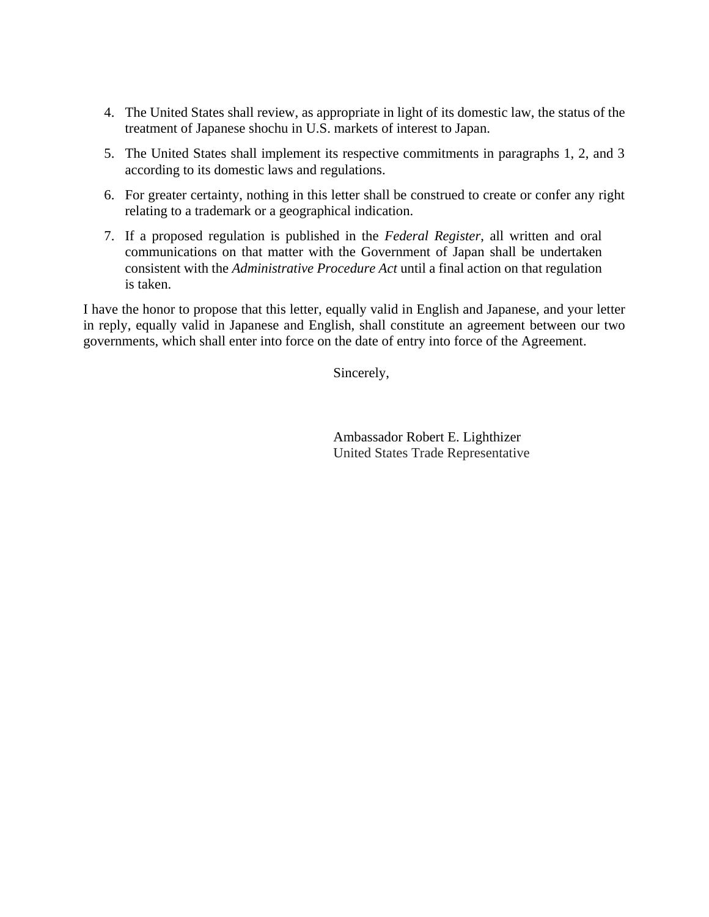- 4. The United States shall review, as appropriate in light of its domestic law, the status of the treatment of Japanese shochu in U.S. markets of interest to Japan.
- 5. The United States shall implement its respective commitments in paragraphs 1, 2, and 3 according to its domestic laws and regulations.
- 6. For greater certainty, nothing in this letter shall be construed to create or confer any right relating to a trademark or a geographical indication.
- 7. If a proposed regulation is published in the *Federal Register*, all written and oral communications on that matter with the Government of Japan shall be undertaken consistent with the *Administrative Procedure Act* until a final action on that regulation is taken.

I have the honor to propose that this letter, equally valid in English and Japanese, and your letter in reply, equally valid in Japanese and English, shall constitute an agreement between our two governments, which shall enter into force on the date of entry into force of the Agreement.

Sincerely,

Ambassador Robert E. Lighthizer United States Trade Representative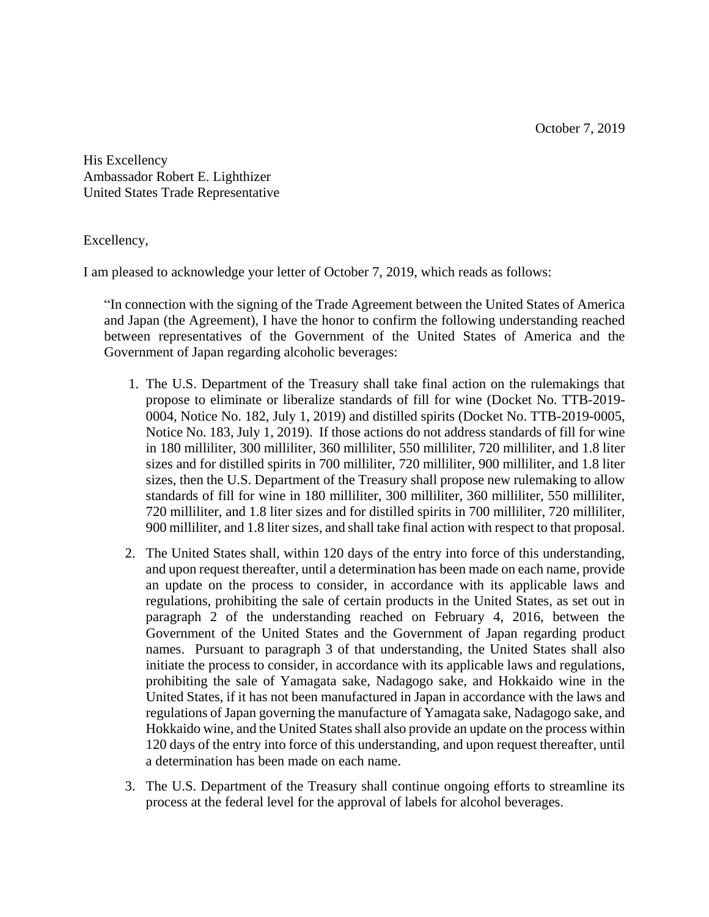October 7, 2019

His Excellency Ambassador Robert E. Lighthizer United States Trade Representative

Excellency,

I am pleased to acknowledge your letter of October 7, 2019, which reads as follows:

"In connection with the signing of the Trade Agreement between the United States of America and Japan (the Agreement), I have the honor to confirm the following understanding reached between representatives of the Government of the United States of America and the Government of Japan regarding alcoholic beverages:

- 1. The U.S. Department of the Treasury shall take final action on the rulemakings that propose to eliminate or liberalize standards of fill for wine (Docket No. TTB-2019- 0004, Notice No. 182, July 1, 2019) and distilled spirits (Docket No. TTB-2019-0005, Notice No. 183, July 1, 2019). If those actions do not address standards of fill for wine in 180 milliliter, 300 milliliter, 360 milliliter, 550 milliliter, 720 milliliter, and 1.8 liter sizes and for distilled spirits in 700 milliliter, 720 milliliter, 900 milliliter, and 1.8 liter sizes, then the U.S. Department of the Treasury shall propose new rulemaking to allow standards of fill for wine in 180 milliliter, 300 milliliter, 360 milliliter, 550 milliliter, 720 milliliter, and 1.8 liter sizes and for distilled spirits in 700 milliliter, 720 milliliter, 900 milliliter, and 1.8 liter sizes, and shall take final action with respect to that proposal.
- 2. The United States shall, within 120 days of the entry into force of this understanding, and upon request thereafter, until a determination has been made on each name, provide an update on the process to consider, in accordance with its applicable laws and regulations, prohibiting the sale of certain products in the United States, as set out in paragraph 2 of the understanding reached on February 4, 2016, between the Government of the United States and the Government of Japan regarding product names. Pursuant to paragraph 3 of that understanding, the United States shall also initiate the process to consider, in accordance with its applicable laws and regulations, prohibiting the sale of Yamagata sake, Nadagogo sake, and Hokkaido wine in the United States, if it has not been manufactured in Japan in accordance with the laws and regulations of Japan governing the manufacture of Yamagata sake, Nadagogo sake, and Hokkaido wine, and the United States shall also provide an update on the process within 120 days of the entry into force of this understanding, and upon request thereafter, until a determination has been made on each name.
- 3. The U.S. Department of the Treasury shall continue ongoing efforts to streamline its process at the federal level for the approval of labels for alcohol beverages.